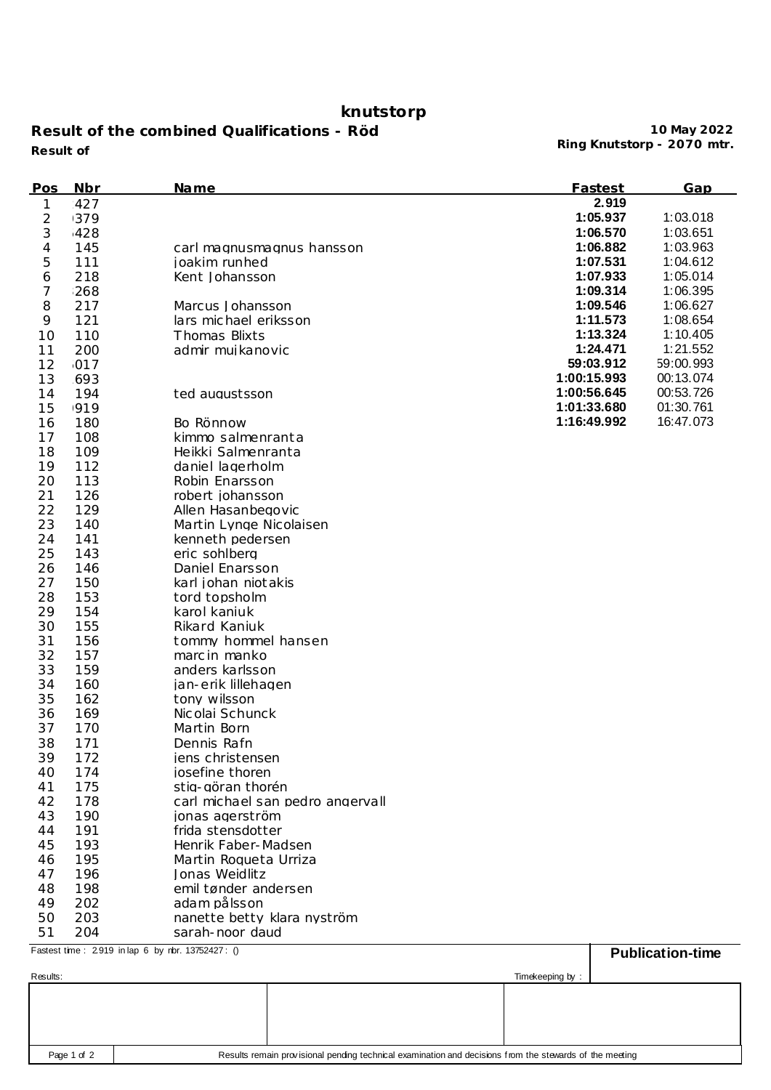## **knutstorp**

**Result of the combined Qualifications - Röd Ring Knutstorp - 2070 mtr. Result of**

**10 May 2022**

| Pos      | <b>Nbr</b>                                       | <u>Name</u>                      | Fastest     | Gap                     |
|----------|--------------------------------------------------|----------------------------------|-------------|-------------------------|
| 1        | 427                                              |                                  | 2.919       |                         |
| 2        | 1379                                             |                                  | 1:05.937    | 1:03.018                |
| 3        | 428                                              |                                  | 1:06.570    | 1:03.651                |
| 4        | 145                                              | carl magnusmagnus hansson        | 1:06.882    | 1:03.963                |
| 5        | 111                                              | joakim runhed                    | 1:07.531    | 1:04.612                |
| 6        | 218                                              | Kent Johansson                   | 1:07.933    | 1:05.014                |
| 7        | 268                                              |                                  | 1:09.314    | 1:06.395                |
| 8        | 217                                              | Marcus Johansson                 | 1:09.546    | 1:06.627                |
| 9        | 121                                              | lars michael eriksson            | 1:11.573    | 1:08.654                |
| 10       | 110                                              | Thomas Blixts                    | 1:13.324    | 1:10.405                |
| 11       | 200                                              | admir muikanovic                 | 1:24.471    | 1:21.552                |
| 12       | 017                                              |                                  | 59:03.912   | 59:00.993               |
| 13       | 693                                              |                                  | 1:00:15.993 | 00:13.074               |
| 14       | 194                                              | ted augustsson                   | 1:00:56.645 | 00:53.726               |
| 15       | 1919                                             |                                  | 1:01:33.680 | 01:30.761               |
|          |                                                  |                                  | 1:16:49.992 | 16:47.073               |
| 16<br>17 | 180                                              | Bo Rönnow                        |             |                         |
|          | 108                                              | kimmo salmenranta                |             |                         |
| 18       | 109                                              | Heikki Salmenranta               |             |                         |
| 19       | 112                                              | daniel lagerholm                 |             |                         |
| 20       | 113                                              | Robin Enarsson                   |             |                         |
| 21       | 126                                              | robert johansson                 |             |                         |
| 22       | 129                                              | Allen Hasanbegovic               |             |                         |
| 23       | 140                                              | Martin Lynge Nicolaisen          |             |                         |
| 24       | 141                                              | kenneth pedersen                 |             |                         |
| 25       | 143                                              | eric sohlbera                    |             |                         |
| 26       | 146                                              | Daniel Enarsson                  |             |                         |
| 27       | 150                                              | karl johan niot akis             |             |                         |
| 28       | 153                                              | tord topsholm                    |             |                         |
| 29       | 154                                              | karol kaniuk                     |             |                         |
| 30       | 155                                              | Rikard Kaniuk                    |             |                         |
| 31       | 156                                              | tommy hommel hansen              |             |                         |
| 32       | 157                                              | marc in manko                    |             |                         |
| 33       | 159                                              | anders karlsson                  |             |                         |
| 34       | 160                                              | jan-erik lillehagen              |             |                         |
| 35       | 162                                              | tony wilsson                     |             |                         |
| 36       | 169                                              | Nicolai Schunck                  |             |                         |
| 37       | 170                                              | Martin Born                      |             |                         |
| 38       | 171                                              | Dennis Rafn                      |             |                         |
| 39       | 172                                              | iens christensen                 |             |                         |
| 40       | 174                                              | josefine thoren                  |             |                         |
| 41       | 175                                              | stig-göran thorén                |             |                         |
| 42       | 178                                              | carl michael san pedro angervall |             |                         |
| 43       | 190                                              | jonas agerström                  |             |                         |
| 44       | 191                                              | frida stensdotter                |             |                         |
| 45       | 193                                              | Henrik Faber-Madsen              |             |                         |
| 46       | 195                                              | Martin Roqueta Urriza            |             |                         |
| 47       | 196                                              | Jonas Weidlitz                   |             |                         |
| 48       | 198                                              | emil tønder andersen             |             |                         |
| 49       | 202                                              | adam pålsson                     |             |                         |
| 50       | 203                                              | nanette betty klara nyström      |             |                         |
| 51       | 204                                              | sarah-noor daud                  |             |                         |
|          | Fastest time: 2919 in lap 6 by rbr. 13752427: () |                                  |             | <b>Publication-time</b> |

|                             | --------------- |
|-----------------------------|-----------------|
|                             |                 |
|                             |                 |
|                             |                 |
|                             |                 |
| Results:<br>Timekeeping by: |                 |
|                             |                 |
| .                           |                 |